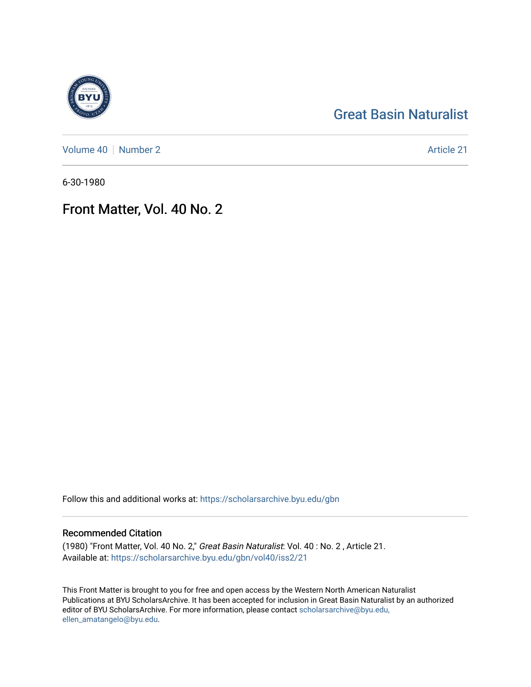## [Great Basin Naturalist](https://scholarsarchive.byu.edu/gbn)

[Volume 40](https://scholarsarchive.byu.edu/gbn/vol40) | [Number 2](https://scholarsarchive.byu.edu/gbn/vol40/iss2) Article 21

6-30-1980

## Front Matter, Vol. 40 No. 2

Follow this and additional works at: [https://scholarsarchive.byu.edu/gbn](https://scholarsarchive.byu.edu/gbn?utm_source=scholarsarchive.byu.edu%2Fgbn%2Fvol40%2Fiss2%2F21&utm_medium=PDF&utm_campaign=PDFCoverPages) 

## Recommended Citation

(1980) "Front Matter, Vol. 40 No. 2," Great Basin Naturalist: Vol. 40 : No. 2 , Article 21. Available at: [https://scholarsarchive.byu.edu/gbn/vol40/iss2/21](https://scholarsarchive.byu.edu/gbn/vol40/iss2/21?utm_source=scholarsarchive.byu.edu%2Fgbn%2Fvol40%2Fiss2%2F21&utm_medium=PDF&utm_campaign=PDFCoverPages) 

This Front Matter is brought to you for free and open access by the Western North American Naturalist Publications at BYU ScholarsArchive. It has been accepted for inclusion in Great Basin Naturalist by an authorized editor of BYU ScholarsArchive. For more information, please contact [scholarsarchive@byu.edu,](mailto:scholarsarchive@byu.edu,%20ellen_amatangelo@byu.edu) [ellen\\_amatangelo@byu.edu](mailto:scholarsarchive@byu.edu,%20ellen_amatangelo@byu.edu).

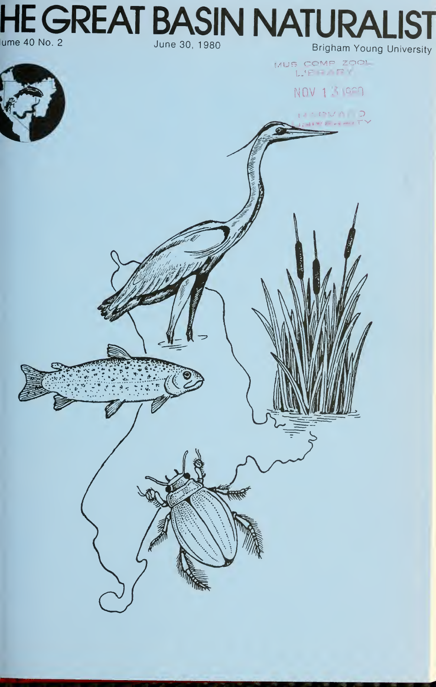